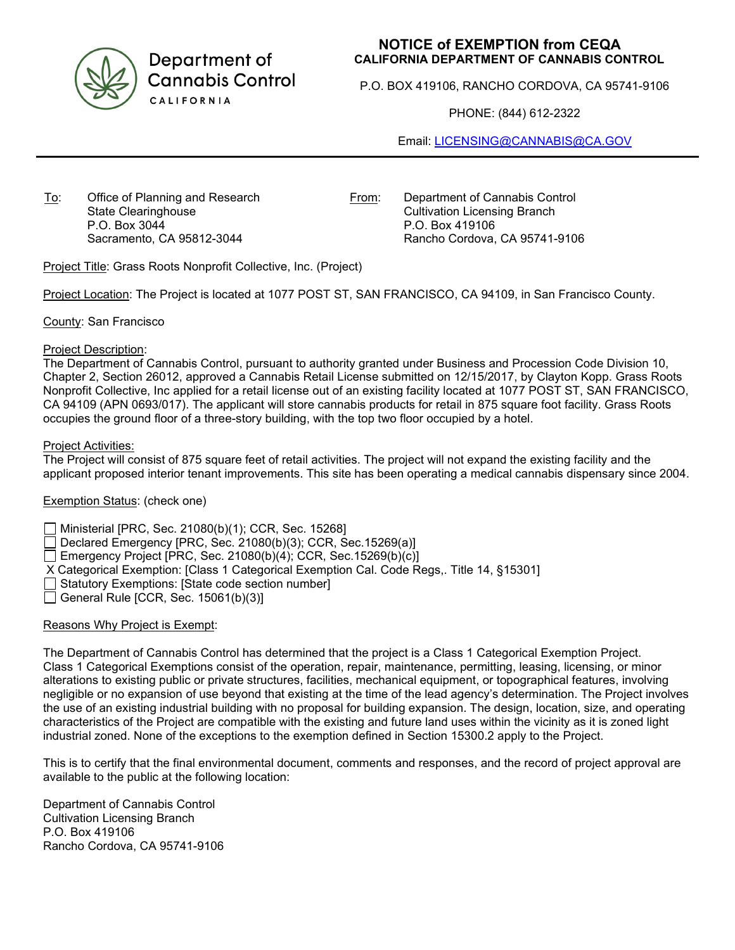

Department of **Cannabis Control** CALIFORNIA

# **NOTICE of EXEMPTION from CEQA CALIFORNIA DEPARTMENT OF CANNABIS CONTROL**

P.O. BOX 419106, RANCHO CORDOVA, CA 95741-9106

PHONE: (844) 612-2322

Email: [LICENSING@CANNABIS@CA.GOV](mailto:LICENSING@CANNABIS@CA.GOV)

To: Office of Planning and Research State Clearinghouse P.O. Box 3044 Sacramento, CA 95812-3044

From: Department of Cannabis Control Cultivation Licensing Branch P.O. Box 419106 Rancho Cordova, CA 95741-9106

Project Title: Grass Roots Nonprofit Collective, Inc. (Project)

Project Location: The Project is located at 1077 POST ST, SAN FRANCISCO, CA 94109, in San Francisco County.

County: San Francisco

### Project Description:

The Department of Cannabis Control, pursuant to authority granted under Business and Procession Code Division 10, Chapter 2, Section 26012, approved a Cannabis Retail License submitted on 12/15/2017, by Clayton Kopp. Grass Roots Nonprofit Collective, Inc applied for a retail license out of an existing facility located at 1077 POST ST, SAN FRANCISCO, CA 94109 (APN 0693/017). The applicant will store cannabis products for retail in 875 square foot facility. Grass Roots occupies the ground floor of a three-story building, with the top two floor occupied by a hotel.

### Project Activities:

The Project will consist of 875 square feet of retail activities. The project will not expand the existing facility and the applicant proposed interior tenant improvements. This site has been operating a medical cannabis dispensary since 2004.

# Exemption Status: (check one)

Ministerial [PRC, Sec. 21080(b)(1); CCR, Sec. 15268]

Declared Emergency [PRC, Sec. 21080(b)(3); CCR, Sec.15269(a)]

Emergency Project [PRC, Sec. 21080(b)(4); CCR, Sec. 15269(b)(c)]

X Categorical Exemption: [Class 1 Categorical Exemption Cal. Code Regs,. Title 14, §15301]

Statutory Exemptions: [State code section number]

General Rule [CCR, Sec.  $15061(b)(3)$ ]

# Reasons Why Project is Exempt:

The Department of Cannabis Control has determined that the project is a Class 1 Categorical Exemption Project. Class 1 Categorical Exemptions consist of the operation, repair, maintenance, permitting, leasing, licensing, or minor alterations to existing public or private structures, facilities, mechanical equipment, or topographical features, involving negligible or no expansion of use beyond that existing at the time of the lead agency's determination. The Project involves the use of an existing industrial building with no proposal for building expansion. The design, location, size, and operating characteristics of the Project are compatible with the existing and future land uses within the vicinity as it is zoned light industrial zoned. None of the exceptions to the exemption defined in Section 15300.2 apply to the Project.

This is to certify that the final environmental document, comments and responses, and the record of project approval are available to the public at the following location:

Department of Cannabis Control Cultivation Licensing Branch P.O. Box 419106 Rancho Cordova, CA 95741-9106